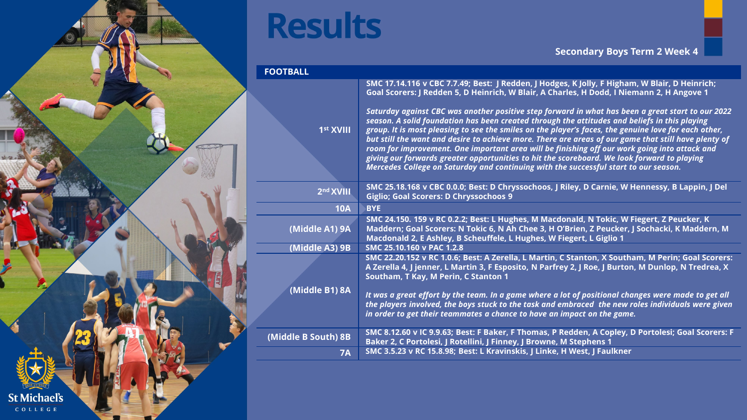

| <b>FOOTBALL</b>       |                                                                                                                                                                                                                                                                                                                                                                                                                                                                                                                                                                                                                                                                                                            |  |
|-----------------------|------------------------------------------------------------------------------------------------------------------------------------------------------------------------------------------------------------------------------------------------------------------------------------------------------------------------------------------------------------------------------------------------------------------------------------------------------------------------------------------------------------------------------------------------------------------------------------------------------------------------------------------------------------------------------------------------------------|--|
|                       | SMC 17.14.116 v CBC 7.7.49; Best: J Redden, J Hodges, K Jolly, F Higham, W Blair, D Heinrich;<br>Goal Scorers: J Redden 5, D Heinrich, W Blair, A Charles, H Dodd, I Niemann 2, H Angove 1                                                                                                                                                                                                                                                                                                                                                                                                                                                                                                                 |  |
| 1 <sup>st</sup> XVIII | Saturday against CBC was another positive step forward in what has been a great start to our 2022<br>season. A solid foundation has been created through the attitudes and beliefs in this playing<br>group. It is most pleasing to see the smiles on the player's faces, the genuine love for each other,<br>but still the want and desire to achieve more. There are areas of our game that still have plenty of<br>room for improvement. One important area will be finishing off our work going into attack and<br>giving our forwards greater opportunities to hit the scoreboard. We look forward to playing<br>Mercedes College on Saturday and continuing with the successful start to our season. |  |
| 2 <sup>nd</sup> XVIII | SMC 25.18.168 v CBC 0.0.0; Best: D Chryssochoos, J Riley, D Carnie, W Hennessy, B Lappin, J Del<br><b>Giglio; Goal Scorers: D Chryssochoos 9</b>                                                                                                                                                                                                                                                                                                                                                                                                                                                                                                                                                           |  |
| <b>10A</b>            | <b>BYE</b>                                                                                                                                                                                                                                                                                                                                                                                                                                                                                                                                                                                                                                                                                                 |  |
| (Middle A1) 9A        | SMC 24.150. 159 v RC 0.2.2; Best: L Hughes, M Macdonald, N Tokic, W Fiegert, Z Peucker, K<br>Maddern; Goal Scorers: N Tokic 6, N Ah Chee 3, H O'Brien, Z Peucker, J Sochacki, K Maddern, M<br>Macdonald 2, E Ashley, B Scheuffele, L Hughes, W Fiegert, L Giglio 1                                                                                                                                                                                                                                                                                                                                                                                                                                         |  |
| (Middle A3) 9B        | SMC 25.10.160 v PAC 1.2.8                                                                                                                                                                                                                                                                                                                                                                                                                                                                                                                                                                                                                                                                                  |  |
|                       | SMC 22.20.152 v RC 1.0.6; Best: A Zerella, L Martin, C Stanton, X Southam, M Perin; Goal Scorers:<br>A Zerella 4, J jenner, L Martin 3, F Esposito, N Parfrey 2, J Roe, J Burton, M Dunlop, N Tredrea, X<br>Southam, T Kay, M Perin, C Stanton 1                                                                                                                                                                                                                                                                                                                                                                                                                                                           |  |
| (Middle B1) 8A        | It was a great effort by the team. In a game where a lot of positional changes were made to get all<br>the players involved, the boys stuck to the task and embraced the new roles individuals were given<br>in order to get their teammates a chance to have an impact on the game.                                                                                                                                                                                                                                                                                                                                                                                                                       |  |
| (Middle B South) 8B   | SMC 8.12.60 v IC 9.9.63; Best: F Baker, F Thomas, P Redden, A Copley, D Portolesi; Goal Scorers: F<br>Baker 2, C Portolesi, J Rotellini, J Finney, J Browne, M Stephens 1                                                                                                                                                                                                                                                                                                                                                                                                                                                                                                                                  |  |
| 7A                    | SMC 3.5.23 v RC 15.8.98; Best: L Kravinskis, J Linke, H West, J Faulkner                                                                                                                                                                                                                                                                                                                                                                                                                                                                                                                                                                                                                                   |  |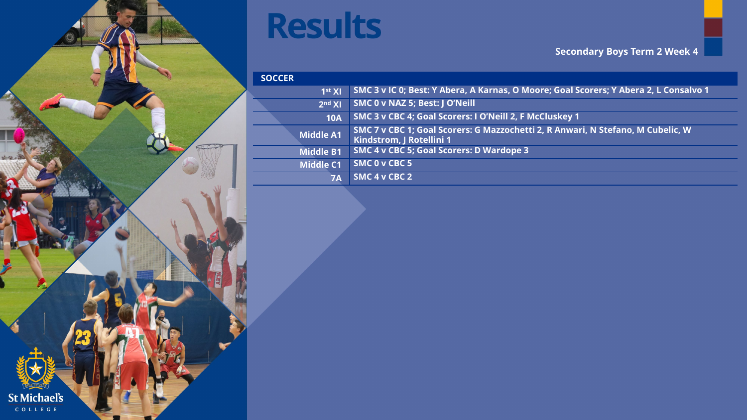

| <b>SOCCER</b>      |                                                                                                             |
|--------------------|-------------------------------------------------------------------------------------------------------------|
| 1 <sup>st</sup> XI | SMC 3 v IC 0; Best: Y Abera, A Karnas, O Moore; Goal Scorers; Y Abera 2, L Consalvo 1                       |
| 2 <sup>nd</sup> XI | SMC 0 v NAZ 5; Best: J O'Neill                                                                              |
| <b>10A</b>         | SMC 3 v CBC 4; Goal Scorers: I O'Neill 2, F McCluskey 1                                                     |
| <b>Middle A1</b>   | SMC 7 v CBC 1; Goal Scorers: G Mazzochetti 2, R Anwari, N Stefano, M Cubelic, W<br>Kindstrom, J Rotellini 1 |
| <b>Middle B1</b>   | <b>SMC 4 v CBC 5; Goal Scorers: D Wardope 3</b>                                                             |
| <b>Middle C1</b>   | SMC 0 v CBC 5                                                                                               |
| 7Α                 | SMC 4 v CBC 2                                                                                               |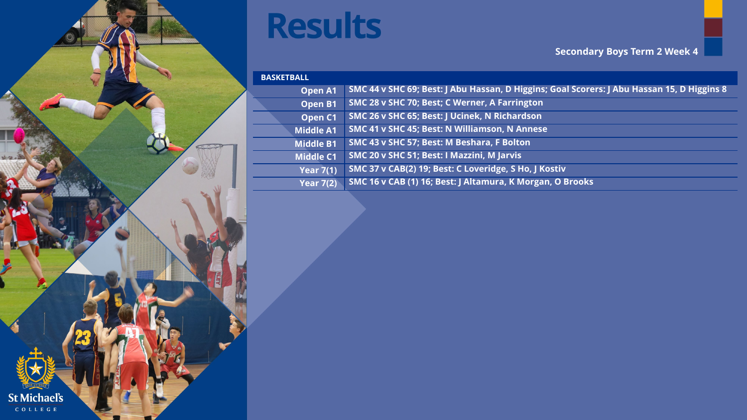

#### **Secondary Boys Term 2 Week 4**

| <b>BASKETBALL</b>  |                                                                                            |
|--------------------|--------------------------------------------------------------------------------------------|
| <b>Open A1</b>     | SMC 44 v SHC 69; Best: J Abu Hassan, D Higgins; Goal Scorers: J Abu Hassan 15, D Higgins 8 |
| Open B1            | SMC 28 v SHC 70; Best; C Werner, A Farrington                                              |
| Open <sub>C1</sub> | SMC 26 v SHC 65; Best: J Ucinek, N Richardson                                              |
| <b>Middle A1</b>   | SMC 41 v SHC 45; Best: N Williamson, N Annese                                              |
| <b>Middle B1</b>   | SMC 43 v SHC 57; Best: M Beshara, F Bolton                                                 |
| <b>Middle C1</b>   | SMC 20 v SHC 51; Best: I Mazzini, M Jarvis                                                 |
| <b>Year 7(1)</b>   | SMC 37 v CAB(2) 19; Best: C Loveridge, S Ho, J Kostiv                                      |
| Year $7(2)$        | SMC 16 v CAB (1) 16; Best: J Altamura, K Morgan, O Brooks                                  |